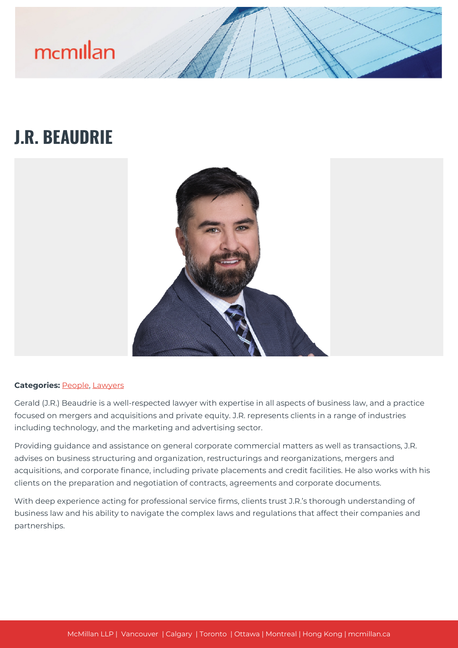# mcmillan

## **J.R. BEAUDRIE**



#### **Categories: [People,](https://mcmillan.ca/people/) [Lawyers](https://mcmillan.ca/people/lawyers/)**

Gerald (J.R.) Beaudrie is a well-respected lawyer with expertise in all aspects of business law, and a practice focused on mergers and acquisitions and private equity. J.R. represents clients in a range of industries including technology, and the marketing and advertising sector.

Providing guidance and assistance on general corporate commercial matters as well as transactions, J.R. advises on business structuring and organization, restructurings and reorganizations, mergers and acquisitions, and corporate finance, including private placements and credit facilities. He also works with his clients on the preparation and negotiation of contracts, agreements and corporate documents.

With deep experience acting for professional service firms, clients trust J.R.'s thorough understanding of business law and his ability to navigate the complex laws and regulations that affect their companies and partnerships.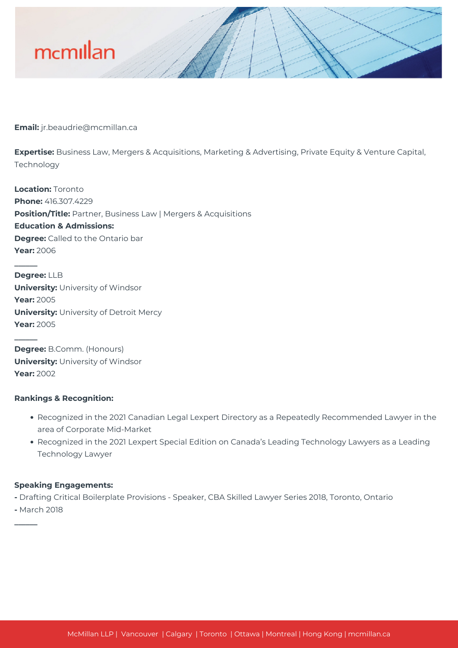

**Email:** jr.beaudrie@mcmillan.ca

**Expertise:** Business Law, Mergers & Acquisitions, Marketing & Advertising, Private Equity & Venture Capital, Technology

**Location:** Toronto **Phone:** 416.307.4229 **Position/Title:** Partner, Business Law | Mergers & Acquisitions **Education & Admissions: Degree:** Called to the Ontario bar **Year:** 2006

**Degree:** LLB **University:** University of Windsor **Year:** 2005 **University:** University of Detroit Mercy **Year:** 2005

**Degree:** B.Comm. (Honours) **University:** University of Windsor **Year:** 2002

#### **Rankings & Recognition:**

- Recognized in the 2021 Canadian Legal Lexpert Directory as a Repeatedly Recommended Lawyer in the area of Corporate Mid-Market
- Recognized in the 2021 Lexpert Special Edition on Canada's Leading Technology Lawyers as a Leading Technology Lawyer

#### **Speaking Engagements:**

**-** Drafting Critical Boilerplate Provisions - Speaker, CBA Skilled Lawyer Series 2018, Toronto, Ontario

**-** March 2018

**\_\_\_\_\_\_**

**\_\_\_\_\_\_**

**\_\_\_\_\_\_**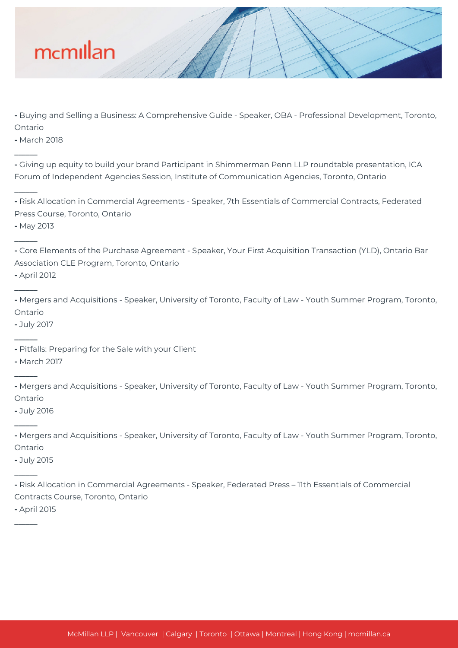

**-** Buying and Selling a Business: A Comprehensive Guide - Speaker, OBA - Professional Development, Toronto, Ontario

**-** March 2018

**\_\_\_\_\_\_**

**\_\_\_\_\_\_**

**\_\_\_\_\_\_**

**\_\_\_\_\_\_**

**\_\_\_\_\_\_**

**\_\_\_\_\_\_**

**\_\_\_\_\_\_**

**\_\_\_\_\_\_**

**\_\_\_\_\_\_**

**-** Giving up equity to build your brand Participant in Shimmerman Penn LLP roundtable presentation, ICA Forum of Independent Agencies Session, Institute of Communication Agencies, Toronto, Ontario

**-** Risk Allocation in Commercial Agreements - Speaker, 7th Essentials of Commercial Contracts, Federated Press Course, Toronto, Ontario

**-** May 2013

**-** Core Elements of the Purchase Agreement - Speaker, Your First Acquisition Transaction (YLD), Ontario Bar Association CLE Program, Toronto, Ontario

**-** April 2012

**-** Mergers and Acquisitions - Speaker, University of Toronto, Faculty of Law - Youth Summer Program, Toronto, Ontario

**-** July 2017

**-** March 2017

**-** Mergers and Acquisitions - Speaker, University of Toronto, Faculty of Law - Youth Summer Program, Toronto, Ontario

**-** July 2016

**-** Mergers and Acquisitions - Speaker, University of Toronto, Faculty of Law - Youth Summer Program, Toronto, Ontario

**-** July 2015

**-** Risk Allocation in Commercial Agreements - Speaker, Federated Press – 11th Essentials of Commercial Contracts Course, Toronto, Ontario

**-** April 2015

**<sup>-</sup>** Pitfalls: Preparing for the Sale with your Client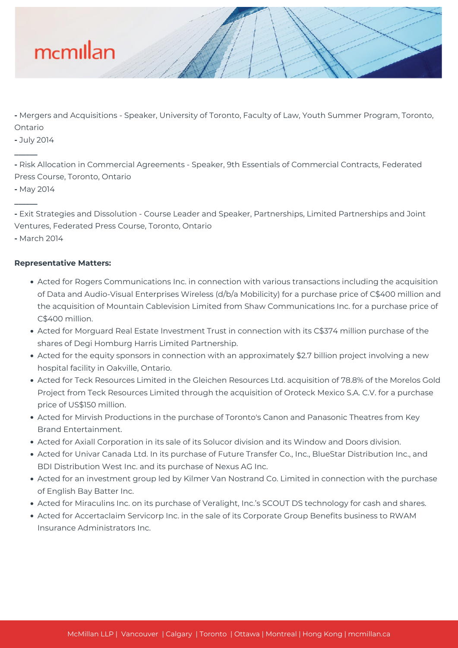

**-** Mergers and Acquisitions - Speaker, University of Toronto, Faculty of Law, Youth Summer Program, Toronto, Ontario

**-** July 2014

**\_\_\_\_\_\_**

**\_\_\_\_\_\_**

**-** Risk Allocation in Commercial Agreements - Speaker, 9th Essentials of Commercial Contracts, Federated Press Course, Toronto, Ontario

**-** May 2014

**-** Exit Strategies and Dissolution - Course Leader and Speaker, Partnerships, Limited Partnerships and Joint Ventures, Federated Press Course, Toronto, Ontario

**-** March 2014

### **Representative Matters:**

- Acted for Rogers Communications Inc. in connection with various transactions including the acquisition of Data and Audio-Visual Enterprises Wireless (d/b/a Mobilicity) for a purchase price of C\$400 million and the acquisition of Mountain Cablevision Limited from Shaw Communications Inc. for a purchase price of C\$400 million.
- Acted for Morguard Real Estate Investment Trust in connection with its C\$374 million purchase of the shares of Degi Homburg Harris Limited Partnership.
- Acted for the equity sponsors in connection with an approximately \$2.7 billion project involving a new hospital facility in Oakville, Ontario.
- Acted for Teck Resources Limited in the Gleichen Resources Ltd. acquisition of 78.8% of the Morelos Gold Project from Teck Resources Limited through the acquisition of Oroteck Mexico S.A. C.V. for a purchase price of US\$150 million.
- Acted for Mirvish Productions in the purchase of Toronto's Canon and Panasonic Theatres from Key Brand Entertainment.
- Acted for Axiall Corporation in its sale of its Solucor division and its Window and Doors division.
- Acted for Univar Canada Ltd. In its purchase of Future Transfer Co., Inc., BlueStar Distribution Inc., and BDI Distribution West Inc. and its purchase of Nexus AG Inc.
- Acted for an investment group led by Kilmer Van Nostrand Co. Limited in connection with the purchase of English Bay Batter Inc.
- Acted for Miraculins Inc. on its purchase of Veralight, Inc.'s SCOUT DS technology for cash and shares.
- Acted for Accertaclaim Servicorp Inc. in the sale of its Corporate Group Benefits business to RWAM Insurance Administrators Inc.